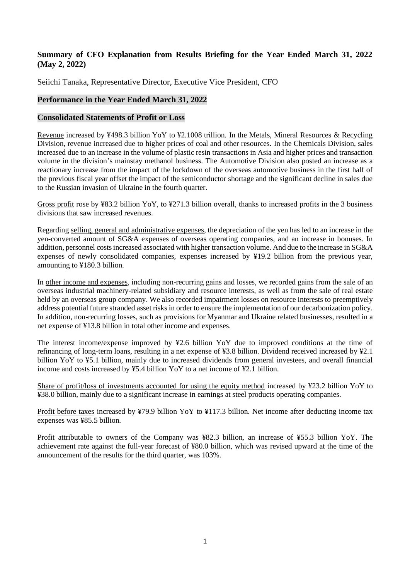# **Summary of CFO Explanation from Results Briefing for the Year Ended March 31, 2022 (May 2, 2022)**

Seiichi Tanaka, Representative Director, Executive Vice President, CFO

# **Performance in the Year Ended March 31, 2022**

### **Consolidated Statements of Profit or Loss**

Revenue increased by ¥498.3 billion YoY to ¥2.1008 trillion. In the Metals, Mineral Resources & Recycling Division, revenue increased due to higher prices of coal and other resources. In the Chemicals Division, sales increased due to an increase in the volume of plastic resin transactions in Asia and higher prices and transaction volume in the division's mainstay methanol business. The Automotive Division also posted an increase as a reactionary increase from the impact of the lockdown of the overseas automotive business in the first half of the previous fiscal year offset the impact of the semiconductor shortage and the significant decline in sales due to the Russian invasion of Ukraine in the fourth quarter.

Gross profit rose by ¥83.2 billion YoY, to ¥271.3 billion overall, thanks to increased profits in the 3 business divisions that saw increased revenues.

Regarding selling, general and administrative expenses, the depreciation of the yen has led to an increase in the yen-converted amount of SG&A expenses of overseas operating companies, and an increase in bonuses. In addition, personnel costs increased associated with higher transaction volume. And due to the increase in SG&A expenses of newly consolidated companies, expenses increased by ¥19.2 billion from the previous year, amounting to ¥180.3 billion.

In other income and expenses, including non-recurring gains and losses, we recorded gains from the sale of an overseas industrial machinery-related subsidiary and resource interests, as well as from the sale of real estate held by an overseas group company. We also recorded impairment losses on resource interests to preemptively address potential future stranded asset risks in order to ensure the implementation of our decarbonization policy. In addition, non-recurring losses, such as provisions for Myanmar and Ukraine related businesses, resulted in a net expense of ¥13.8 billion in total other income and expenses.

The interest income/expense improved by ¥2.6 billion YoY due to improved conditions at the time of refinancing of long-term loans, resulting in a net expense of ¥3.8 billion. Dividend received increased by ¥2.1 billion YoY to ¥5.1 billion, mainly due to increased dividends from general investees, and overall financial income and costs increased by ¥5.4 billion YoY to a net income of ¥2.1 billion.

Share of profit/loss of investments accounted for using the equity method increased by ¥23.2 billion YoY to ¥38.0 billion, mainly due to a significant increase in earnings at steel products operating companies.

Profit before taxes increased by ¥79.9 billion YoY to ¥117.3 billion. Net income after deducting income tax expenses was ¥85.5 billion.

Profit attributable to owners of the Company was ¥82.3 billion, an increase of ¥55.3 billion YoY. The achievement rate against the full-year forecast of ¥80.0 billion, which was revised upward at the time of the announcement of the results for the third quarter, was 103%.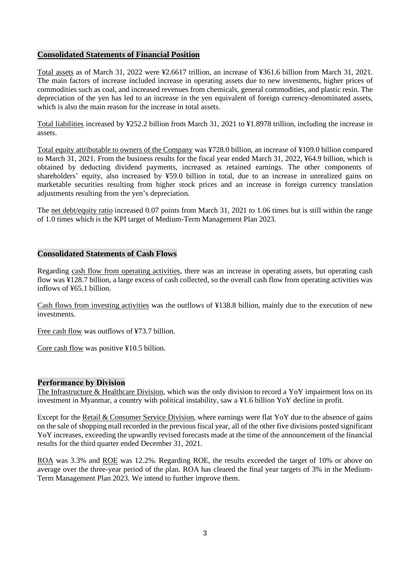#### **Consolidated Statements of Financial Position**

Total assets as of March 31, 2022 were ¥2.6617 trillion, an increase of ¥361.6 billion from March 31, 2021. The main factors of increase included increase in operating assets due to new investments, higher prices of commodities such as coal, and increased revenues from chemicals, general commodities, and plastic resin. The depreciation of the yen has led to an increase in the yen equivalent of foreign currency-denominated assets, which is also the main reason for the increase in total assets.

Total liabilities increased by ¥252.2 billion from March 31, 2021 to ¥1.8978 trillion, including the increase in assets.

Total equity attributable to owners of the Company was ¥728.0 billion, an increase of ¥109.0 billion compared to March 31, 2021. From the business results for the fiscal year ended March 31, 2022, ¥64.9 billion, which is obtained by deducting dividend payments, increased as retained earnings. The other components of shareholders' equity, also increased by ¥59.0 billion in total, due to an increase in unrealized gains on marketable securities resulting from higher stock prices and an increase in foreign currency translation adjustments resulting from the yen's depreciation.

The net debt/equity ratio increased 0.07 points from March 31, 2021 to 1.06 times but is still within the range of 1.0 times which is the KPI target of Medium-Term Management Plan 2023.

#### **Consolidated Statements of Cash Flows**

Regarding cash flow from operating activities, there was an increase in operating assets, but operating cash flow was ¥128.7 billion, a large excess of cash collected, so the overall cash flow from operating activities was inflows of ¥65.1 billion.

Cash flows from investing activities was the outflows of ¥138.8 billion, mainly due to the execution of new investments.

Free cash flow was outflows of ¥73.7 billion.

Core cash flow was positive ¥10.5 billion.

#### **Performance by Division**

The Infrastructure & Healthcare Division, which was the only division to record a YoY impairment loss on its investment in Myanmar, a country with political instability, saw a ¥1.6 billion YoY decline in profit.

Except for the Retail & Consumer Service Division, where earnings were flat YoY due to the absence of gains on the sale of shopping mall recorded in the previous fiscal year, all of the other five divisions posted significant YoY increases, exceeding the upwardly revised forecasts made at the time of the announcement of the financial results for the third quarter ended December 31, 2021.

ROA was 3.3% and ROE was 12.2%. Regarding ROE, the results exceeded the target of 10% or above on average over the three-year period of the plan. ROA has cleared the final year targets of 3% in the Medium-Term Management Plan 2023. We intend to further improve them.